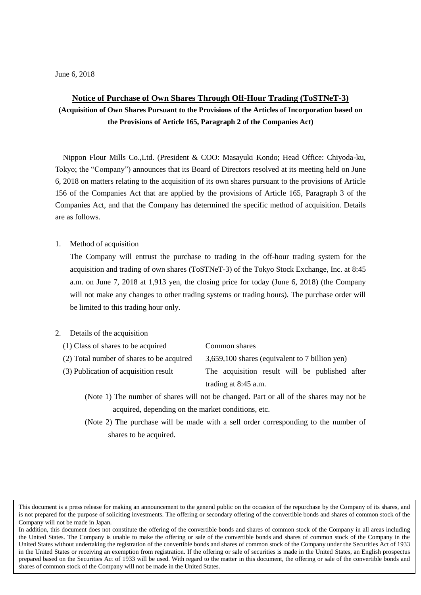## **Notice of Purchase of Own Shares Through Off-Hour Trading (ToSTNeT-3)**

**(Acquisition of Own Shares Pursuant to the Provisions of the Articles of Incorporation based on the Provisions of Article 165, Paragraph 2 of the Companies Act)**

Nippon Flour Mills Co.,Ltd. (President & COO: Masayuki Kondo; Head Office: Chiyoda-ku, Tokyo; the "Company") announces that its Board of Directors resolved at its meeting held on June 6, 2018 on matters relating to the acquisition of its own shares pursuant to the provisions of Article 156 of the Companies Act that are applied by the provisions of Article 165, Paragraph 3 of the Companies Act, and that the Company has determined the specific method of acquisition. Details are as follows.

## 1. Method of acquisition

The Company will entrust the purchase to trading in the off-hour trading system for the acquisition and trading of own shares (ToSTNeT-3) of the Tokyo Stock Exchange, Inc. at 8:45 a.m. on June 7, 2018 at 1,913 yen, the closing price for today (June 6, 2018) (the Company will not make any changes to other trading systems or trading hours). The purchase order will be limited to this trading hour only.

## 2. Details of the acquisition

- 
- 

(2) Total number of shares to be acquired 3,659,100 shares (equivalent to 7 billion yen)

- (3) Publication of acquisition result The acquisition result will be published after trading at 8:45 a.m.
	- (Note 1) The number of shares will not be changed. Part or all of the shares may not be acquired, depending on the market conditions, etc.
	- (Note 2) The purchase will be made with a sell order corresponding to the number of shares to be acquired.

This document is a press release for making an announcement to the general public on the occasion of the repurchase by the Company of its shares, and is not prepared for the purpose of soliciting investments. The offering or secondary offering of the convertible bonds and shares of common stock of the Company will not be made in Japan.

In addition, this document does not constitute the offering of the convertible bonds and shares of common stock of the Company in all areas including the United States. The Company is unable to make the offering or sale of the convertible bonds and shares of common stock of the Company in the United States without undertaking the registration of the convertible bonds and shares of common stock of the Company under the Securities Act of 1933 in the United States or receiving an exemption from registration. If the offering or sale of securities is made in the United States, an English prospectus prepared based on the Securities Act of 1933 will be used. With regard to the matter in this document, the offering or sale of the convertible bonds and shares of common stock of the Company will not be made in the United States.